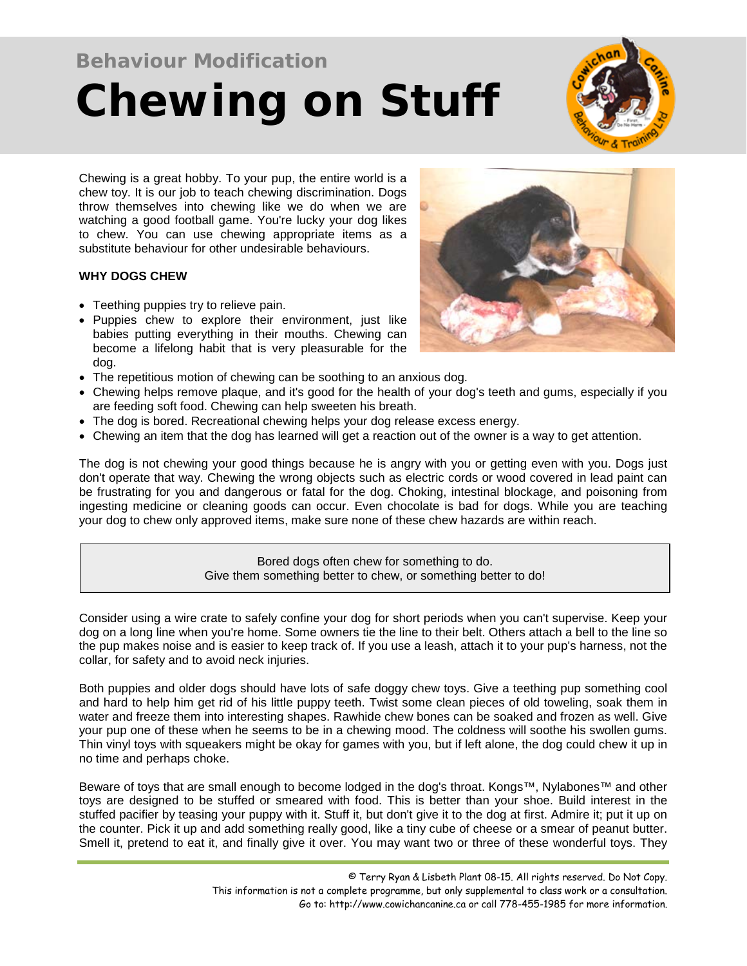# **Behaviour Modification Chewing on Stuff**



Chewing is a great hobby. To your pup, the entire world is a chew toy. It is our job to teach chewing discrimination. Dogs throw themselves into chewing like we do when we are watching a good football game. You're lucky your dog likes to chew. You can use chewing appropriate items as a substitute behaviour for other undesirable behaviours.

## **WHY DOGS CHEW**

- Teething puppies try to relieve pain.
- Puppies chew to explore their environment, just like babies putting everything in their mouths. Chewing can become a lifelong habit that is very pleasurable for the dog.
- The repetitious motion of chewing can be soothing to an anxious dog.
- Chewing helps remove plaque, and it's good for the health of your dog's teeth and gums, especially if you are feeding soft food. Chewing can help sweeten his breath.
- The dog is bored. Recreational chewing helps your dog release excess energy.
- Chewing an item that the dog has learned will get a reaction out of the owner is a way to get attention.

The dog is not chewing your good things because he is angry with you or getting even with you. Dogs just don't operate that way. Chewing the wrong objects such as electric cords or wood covered in lead paint can be frustrating for you and dangerous or fatal for the dog. Choking, intestinal blockage, and poisoning from ingesting medicine or cleaning goods can occur. Even chocolate is bad for dogs. While you are teaching your dog to chew only approved items, make sure none of these chew hazards are within reach.

> Bored dogs often chew for something to do. Give them something better to chew, or something better to do!

Consider using a wire crate to safely confine your dog for short periods when you can't supervise. Keep your dog on a long line when you're home. Some owners tie the line to their belt. Others attach a bell to the line so the pup makes noise and is easier to keep track of. If you use a leash, attach it to your pup's harness, not the collar, for safety and to avoid neck injuries.

Both puppies and older dogs should have lots of safe doggy chew toys. Give a teething pup something cool and hard to help him get rid of his little puppy teeth. Twist some clean pieces of old toweling, soak them in water and freeze them into interesting shapes. Rawhide chew bones can be soaked and frozen as well. Give your pup one of these when he seems to be in a chewing mood. The coldness will soothe his swollen gums. Thin vinyl toys with squeakers might be okay for games with you, but if left alone, the dog could chew it up in no time and perhaps choke.

Beware of toys that are small enough to become lodged in the dog's throat. Kongs™, Nylabones™ and other toys are designed to be stuffed or smeared with food. This is better than your shoe. Build interest in the stuffed pacifier by teasing your puppy with it. Stuff it, but don't give it to the dog at first. Admire it; put it up on the counter. Pick it up and add something really good, like a tiny cube of cheese or a smear of peanut butter. Smell it, pretend to eat it, and finally give it over. You may want two or three of these wonderful toys. They

> © Terry Ryan & Lisbeth Plant 08-15. All rights reserved. Do Not Copy. This information is not a complete programme, but only supplemental to class work or a consultation. Go to: http://www.cowichancanine.ca or call 778-455-1985 for more information.